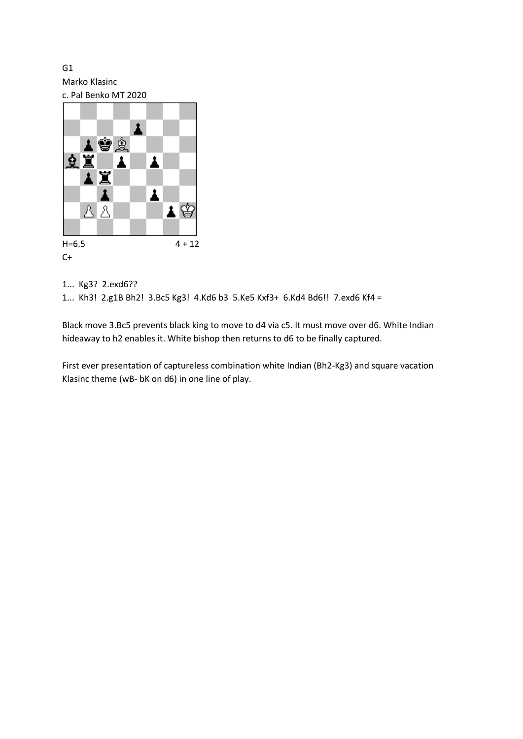G1 Marko Klasinc



## 1... Kg3? 2.exd6??

1... Kh3! 2.g1B Bh2! 3.Bc5 Kg3! 4.Kd6 b3 5.Ke5 Kxf3+ 6.Kd4 Bd6!! 7.exd6 Kf4 =

Black move 3.Bc5 prevents black king to move to d4 via c5. It must move over d6. White Indian hideaway to h2 enables it. White bishop then returns to d6 to be finally captured.

First ever presentation of captureless combination white Indian (Bh2-Kg3) and square vacation Klasinc theme (wB- bK on d6) in one line of play.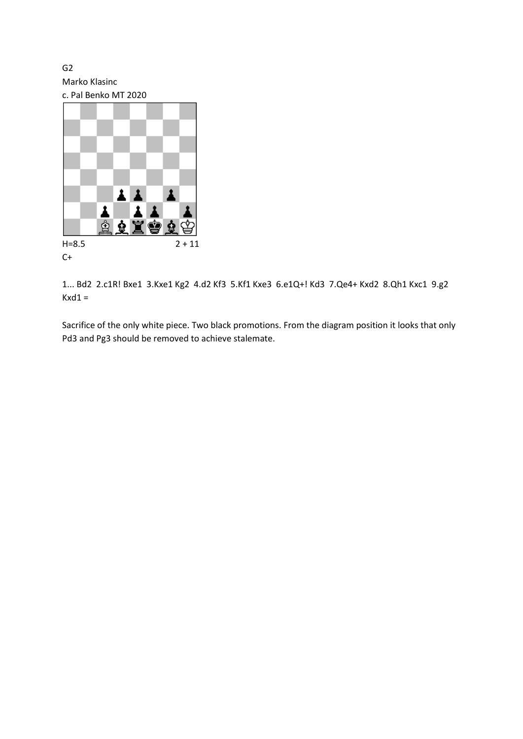G2 Marko Klasinc

c. Pal Benko MT 2020 1 1  $\blacktriangle$ ĝ ġ 9  $H=8.5$  2 + 11



1... Bd2 2.c1R! Bxe1 3.Kxe1 Kg2 4.d2 Kf3 5.Kf1 Kxe3 6.e1Q+! Kd3 7.Qe4+ Kxd2 8.Qh1 Kxc1 9.g2  $Kxd1 =$ 

Sacrifice of the only white piece. Two black promotions. From the diagram position it looks that only Pd3 and Pg3 should be removed to achieve stalemate.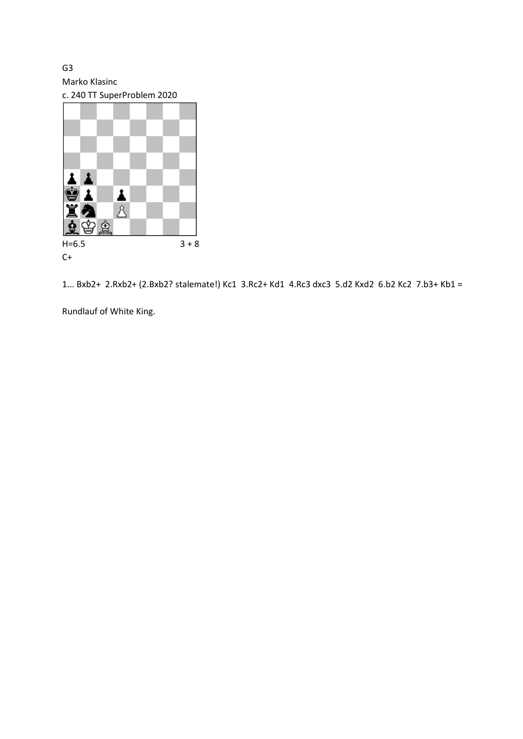G3 Marko Klasinc

c. 240 TT SuperProblem 2020



1... Bxb2+ 2.Rxb2+ (2.Bxb2? stalemate!) Kc1 3.Rc2+ Kd1 4.Rc3 dxc3 5.d2 Kxd2 6.b2 Kc2 7.b3+ Kb1 =

Rundlauf of White King.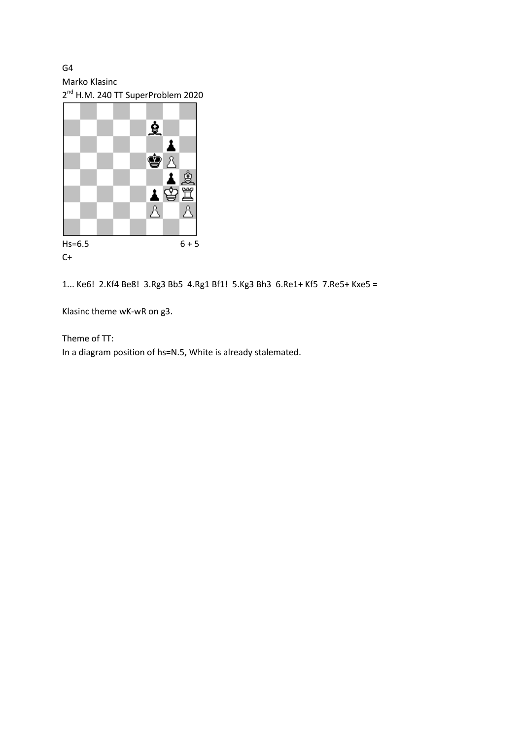G4 Marko Klasinc

2<sup>nd</sup> H.M. 240 TT SuperProblem 2020



1... Ke6! 2.Kf4 Be8! 3.Rg3 Bb5 4.Rg1 Bf1! 5.Kg3 Bh3 6.Re1+ Kf5 7.Re5+ Kxe5 =

Klasinc theme wK-wR on g3.

Theme of TT: In a diagram position of hs=N.5, White is already stalemated.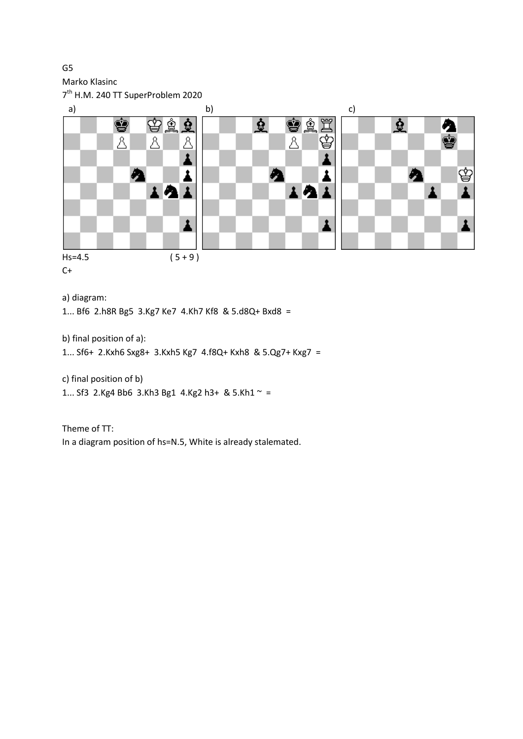Marko Klasinc

G5

7<sup>th</sup> H.M. 240 TT SuperProblem 2020



 $C+$ 

a) diagram:

1... Bf6 2.h8R Bg5 3.Kg7 Ke7 4.Kh7 Kf8 & 5.d8Q+ Bxd8 =

b) final position of a):

1... Sf6+ 2.Kxh6 Sxg8+ 3.Kxh5 Kg7 4.f8Q+ Kxh8 & 5.Qg7+ Kxg7 =

c) final position of b) 1... Sf3 2.Kg4 Bb6 3.Kh3 Bg1 4.Kg2 h3+ & 5.Kh1  $\sim$  =

Theme of TT: In a diagram position of hs=N.5, White is already stalemated.